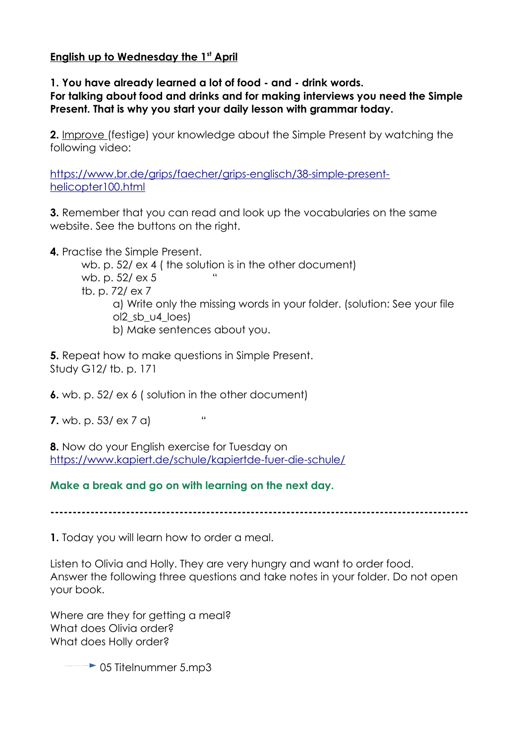## **English up to Wednesday the 1st April**

**1. You have already learned a lot of food - and - drink words. For talking about food and drinks and for making interviews you need the Simple Present. That is why you start your daily lesson with grammar today.**

**2.** Improve (festige) your knowledge about the Simple Present by watching the following video:

[https://www.br.de/grips/faecher/grips-englisch/38-simple-present](https://www.br.de/grips/faecher/grips-englisch/38-simple-present-helicopter100.html)[helicopter100.html](https://www.br.de/grips/faecher/grips-englisch/38-simple-present-helicopter100.html)

**3.** Remember that you can read and look up the vocabularies on the same website. See the buttons on the right.

**4.** Practise the Simple Present.

wb. p. 52/ ex 4 ( the solution is in the other document) wb. p. 52/ ex 5 tb. p. 72/ ex 7 a) Write only the missing words in your folder. (solution: See your file ol2\_sb\_u4\_loes) b) Make sentences about you.

**5.** Repeat how to make questions in Simple Present. Study G12/ tb. p. 171

**6.** wb. p. 52/ ex 6 ( solution in the other document)

**7.**  $wb. p. 53/ ex 7 d$  "

**8.** Now do your English exercise for Tuesday on <https://www.kapiert.de/schule/kapiertde-fuer-die-schule/>

**Make a break and go on with learning on the next day.**

**----------------------------------------------------------------------------------------------**

**1.** Today you will learn how to order a meal.

Listen to Olivia and Holly. They are very hungry and want to order food. Answer the following three questions and take notes in your folder. Do not open your book.

Where are they for getting a meal? What does Olivia order? What does Holly order?

 $\rightarrow$  05 Titelnummer 5.mp3